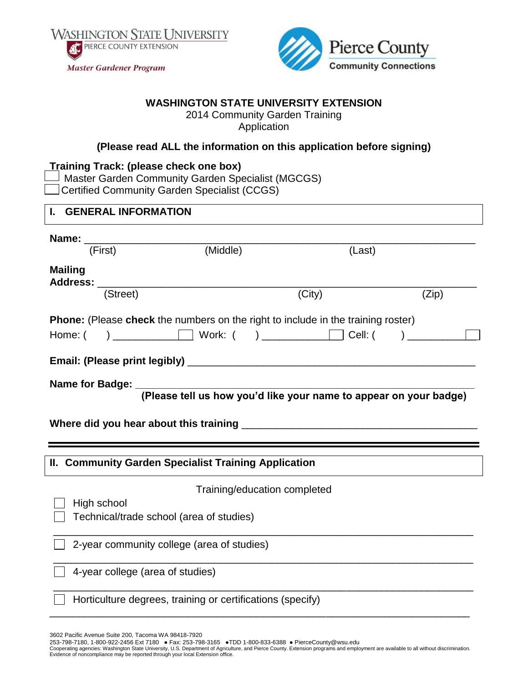



## **WASHINGTON STATE UNIVERSITY EXTENSION**

2014 Community Garden Training Application

## **(Please read ALL the information on this application before signing)**

| <b>Training Track: (please check one box)</b><br>J Master Garden Community Garden Specialist (MGCGS)<br><b>Certified Community Garden Specialist (CCGS)</b>                                                                                                                                                                                                                                                      |                              |        |       |  |  |  |  |
|------------------------------------------------------------------------------------------------------------------------------------------------------------------------------------------------------------------------------------------------------------------------------------------------------------------------------------------------------------------------------------------------------------------|------------------------------|--------|-------|--|--|--|--|
| I. GENERAL INFORMATION                                                                                                                                                                                                                                                                                                                                                                                           |                              |        |       |  |  |  |  |
| Name: $\frac{1}{\sqrt{1-\frac{1}{1-\frac{1}{1-\frac{1}{1-\frac{1}{1-\frac{1}{1-\frac{1}{1-\frac{1}{1-\frac{1}{1-\frac{1}{1-\frac{1}{1-\frac{1}{1-\frac{1}{1-\frac{1}{1-\frac{1}{1-\frac{1}{1-\frac{1}{1-\frac{1}{1-\frac{1}{1-\frac{1}{1-\frac{1}{1-\frac{1}{1-\frac{1}{1-\frac{1}{1-\frac{1}{1-\frac{1}{1-\frac{1}{1-\frac{1}{1-\frac{1}{1-\frac{1}{1-\frac{1}{1-\frac{1}{1-\frac{1}{1-\frac{1}{1-\frac{1}{1-\$ |                              | (Last) |       |  |  |  |  |
| <b>Mailing</b><br>(Street)                                                                                                                                                                                                                                                                                                                                                                                       |                              |        |       |  |  |  |  |
|                                                                                                                                                                                                                                                                                                                                                                                                                  |                              | (City) | (Zip) |  |  |  |  |
| <b>Phone:</b> (Please check the numbers on the right to include in the training roster)                                                                                                                                                                                                                                                                                                                          |                              |        |       |  |  |  |  |
|                                                                                                                                                                                                                                                                                                                                                                                                                  |                              |        |       |  |  |  |  |
|                                                                                                                                                                                                                                                                                                                                                                                                                  |                              |        |       |  |  |  |  |
|                                                                                                                                                                                                                                                                                                                                                                                                                  |                              |        |       |  |  |  |  |
|                                                                                                                                                                                                                                                                                                                                                                                                                  |                              |        |       |  |  |  |  |
| II. Community Garden Specialist Training Application                                                                                                                                                                                                                                                                                                                                                             |                              |        |       |  |  |  |  |
|                                                                                                                                                                                                                                                                                                                                                                                                                  | Training/education completed |        |       |  |  |  |  |
| High school<br>Technical/trade school (area of studies)                                                                                                                                                                                                                                                                                                                                                          |                              |        |       |  |  |  |  |
| 2-year community college (area of studies)                                                                                                                                                                                                                                                                                                                                                                       |                              |        |       |  |  |  |  |
| 4-year college (area of studies)                                                                                                                                                                                                                                                                                                                                                                                 |                              |        |       |  |  |  |  |
| Horticulture degrees, training or certifications (specify)                                                                                                                                                                                                                                                                                                                                                       |                              |        |       |  |  |  |  |

3602 Pacific Avenue Suite 200, Tacoma WA 98418-7920

253-798-7180, 1-800-922-2456 Ext 7180 ● Fax: 253-798-3165 ●TDD 1-800-833-6388 ● PierceCounty@wsu.edu<br>Cooperating agencies: Washington State University, U.S. Department of Agriculture, and Pierce County. Extension programs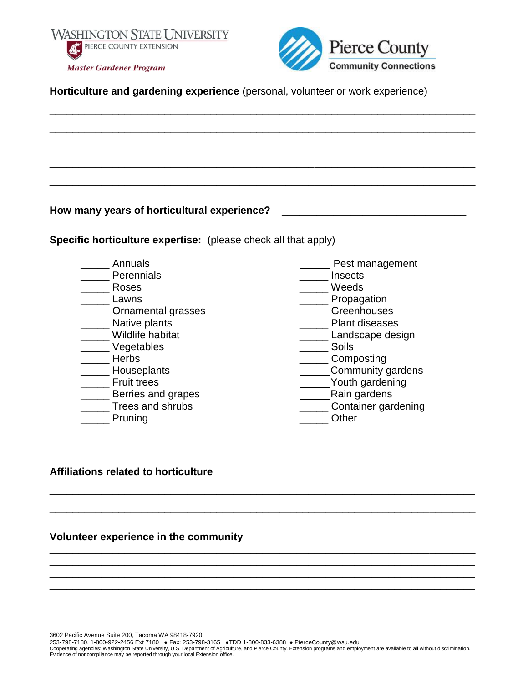



**Horticulture and gardening experience** (personal, volunteer or work experience)

\_\_\_\_\_\_\_\_\_\_\_\_\_\_\_\_\_\_\_\_\_\_\_\_\_\_\_\_\_\_\_\_\_\_\_\_\_\_\_\_\_\_\_\_\_\_\_\_\_\_\_\_\_\_\_\_\_\_\_\_\_\_\_\_\_\_\_\_\_\_\_\_\_\_ \_\_\_\_\_\_\_\_\_\_\_\_\_\_\_\_\_\_\_\_\_\_\_\_\_\_\_\_\_\_\_\_\_\_\_\_\_\_\_\_\_\_\_\_\_\_\_\_\_\_\_\_\_\_\_\_\_\_\_\_\_\_\_\_\_\_\_\_\_\_\_\_\_\_ \_\_\_\_\_\_\_\_\_\_\_\_\_\_\_\_\_\_\_\_\_\_\_\_\_\_\_\_\_\_\_\_\_\_\_\_\_\_\_\_\_\_\_\_\_\_\_\_\_\_\_\_\_\_\_\_\_\_\_\_\_\_\_\_\_\_\_\_\_\_\_\_\_\_ \_\_\_\_\_\_\_\_\_\_\_\_\_\_\_\_\_\_\_\_\_\_\_\_\_\_\_\_\_\_\_\_\_\_\_\_\_\_\_\_\_\_\_\_\_\_\_\_\_\_\_\_\_\_\_\_\_\_\_\_\_\_\_\_\_\_\_\_\_\_\_\_\_\_ \_\_\_\_\_\_\_\_\_\_\_\_\_\_\_\_\_\_\_\_\_\_\_\_\_\_\_\_\_\_\_\_\_\_\_\_\_\_\_\_\_\_\_\_\_\_\_\_\_\_\_\_\_\_\_\_\_\_\_\_\_\_\_\_\_\_\_\_\_\_\_\_\_\_

**How many years of horticultural experience?** \_\_\_\_\_\_\_\_\_\_\_\_\_\_\_\_\_\_\_\_\_\_\_\_\_\_\_\_\_\_\_\_

**Specific horticulture expertise:** (please check all that apply)

- \_\_\_\_\_ Annuals
- **Perennials**
- \_\_\_\_\_ Roses
- \_\_\_\_\_ Lawns
- **Example 2** Ornamental grasses
- \_\_\_\_\_ Native plants
- \_\_\_\_\_ Wildlife habitat
- \_\_\_\_\_ Vegetables
- \_\_\_\_\_ Herbs
- \_\_\_\_\_ Houseplants
- \_\_\_\_\_ Fruit trees
- \_\_\_\_\_ Berries and grapes
- **Trees and shrubs**
- \_\_\_\_\_ Pruning
- Pest management
- \_\_\_\_\_ Insects
- \_\_\_\_\_ Weeds
- Languagation
- \_\_\_\_\_ Greenhouses
- \_\_\_\_\_ Plant diseases
- **\_\_\_\_\_\_** Landscape design
	- \_\_\_\_\_ Soils
- \_\_\_\_\_ Composting
- **Community gardens**
- **Wouth gardening**
- Rain gardens
- \_\_\_\_\_ Container gardening
	- \_\_\_\_\_ Other

## **Affiliations related to horticulture**

#### **Volunteer experience in the community**

\_\_\_\_\_\_\_\_\_\_\_\_\_\_\_\_\_\_\_\_\_\_\_\_\_\_\_\_\_\_\_\_\_\_\_\_\_\_\_\_\_\_\_\_\_\_\_\_\_\_\_\_\_\_\_\_\_\_\_\_\_\_\_\_\_\_\_\_\_\_\_\_\_\_

\_\_\_\_\_\_\_\_\_\_\_\_\_\_\_\_\_\_\_\_\_\_\_\_\_\_\_\_\_\_\_\_\_\_\_\_\_\_\_\_\_\_\_\_\_\_\_\_\_\_\_\_\_\_\_\_\_\_\_\_\_\_\_\_\_\_\_\_\_\_\_\_\_\_

\_\_\_\_\_\_\_\_\_\_\_\_\_\_\_\_\_\_\_\_\_\_\_\_\_\_\_\_\_\_\_\_\_\_\_\_\_\_\_\_\_\_\_\_\_\_\_\_\_\_\_\_\_\_\_\_\_\_\_\_\_\_\_\_\_\_\_\_\_\_\_\_\_\_ \_\_\_\_\_\_\_\_\_\_\_\_\_\_\_\_\_\_\_\_\_\_\_\_\_\_\_\_\_\_\_\_\_\_\_\_\_\_\_\_\_\_\_\_\_\_\_\_\_\_\_\_\_\_\_\_\_\_\_\_\_\_\_\_\_\_\_\_\_\_\_\_\_\_ \_\_\_\_\_\_\_\_\_\_\_\_\_\_\_\_\_\_\_\_\_\_\_\_\_\_\_\_\_\_\_\_\_\_\_\_\_\_\_\_\_\_\_\_\_\_\_\_\_\_\_\_\_\_\_\_\_\_\_\_\_\_\_\_\_\_\_\_\_\_\_\_\_\_ \_\_\_\_\_\_\_\_\_\_\_\_\_\_\_\_\_\_\_\_\_\_\_\_\_\_\_\_\_\_\_\_\_\_\_\_\_\_\_\_\_\_\_\_\_\_\_\_\_\_\_\_\_\_\_\_\_\_\_\_\_\_\_\_\_\_\_\_\_\_\_\_\_\_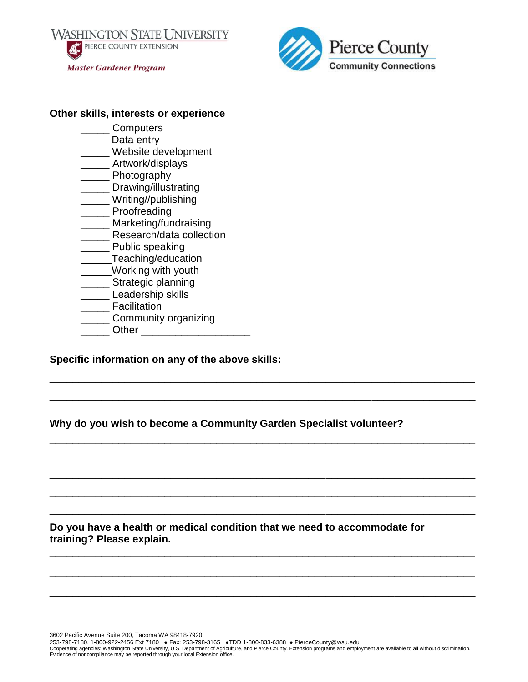**WASHINGTON STATE UNIVERSITY** PIERCE COUNTY EXTENSION **Master Gardener Program** 



#### **Other skills, interests or experience**

- \_\_\_\_\_ Computers
- Data entry
- \_\_\_\_\_ Website development
- \_\_\_\_\_ Artwork/displays
- \_\_\_\_\_ Photography
- \_\_\_\_\_ Drawing/illustrating
- \_\_\_\_\_ Writing//publishing
- \_\_\_\_\_ Proofreading
- \_\_\_\_\_ Marketing/fundraising
- **Example 2** Research/data collection
- \_\_\_\_\_ Public speaking
- **Teaching/education**
- Working with youth
- \_\_\_ Strategic planning
- \_\_\_\_\_ Leadership skills
- \_\_\_\_\_ Facilitation
- \_\_\_\_\_ Community organizing
- Other **and the set of the set of the set of the set of the set of the set of the set of the set of the set of the set of the set of the set of the set of the set of the set of the set of the set of the set of the set of th**

## **Specific information on any of the above skills:**

**Why do you wish to become a Community Garden Specialist volunteer?**

\_\_\_\_\_\_\_\_\_\_\_\_\_\_\_\_\_\_\_\_\_\_\_\_\_\_\_\_\_\_\_\_\_\_\_\_\_\_\_\_\_\_\_\_\_\_\_\_\_\_\_\_\_\_\_\_\_\_\_\_\_\_\_\_\_\_\_\_\_\_\_\_\_\_

\_\_\_\_\_\_\_\_\_\_\_\_\_\_\_\_\_\_\_\_\_\_\_\_\_\_\_\_\_\_\_\_\_\_\_\_\_\_\_\_\_\_\_\_\_\_\_\_\_\_\_\_\_\_\_\_\_\_\_\_\_\_\_\_\_\_\_\_\_\_\_\_\_\_

\_\_\_\_\_\_\_\_\_\_\_\_\_\_\_\_\_\_\_\_\_\_\_\_\_\_\_\_\_\_\_\_\_\_\_\_\_\_\_\_\_\_\_\_\_\_\_\_\_\_\_\_\_\_\_\_\_\_\_\_\_\_\_\_\_\_\_\_\_\_\_\_\_\_

\_\_\_\_\_\_\_\_\_\_\_\_\_\_\_\_\_\_\_\_\_\_\_\_\_\_\_\_\_\_\_\_\_\_\_\_\_\_\_\_\_\_\_\_\_\_\_\_\_\_\_\_\_\_\_\_\_\_\_\_\_\_\_\_\_\_\_\_\_\_\_\_\_\_

\_\_\_\_\_\_\_\_\_\_\_\_\_\_\_\_\_\_\_\_\_\_\_\_\_\_\_\_\_\_\_\_\_\_\_\_\_\_\_\_\_\_\_\_\_\_\_\_\_\_\_\_\_\_\_\_\_\_\_\_\_\_\_\_\_\_\_\_\_\_\_\_\_\_

\_\_\_\_\_\_\_\_\_\_\_\_\_\_\_\_\_\_\_\_\_\_\_\_\_\_\_\_\_\_\_\_\_\_\_\_\_\_\_\_\_\_\_\_\_\_\_\_\_\_\_\_\_\_\_\_\_\_\_\_\_\_\_\_\_\_\_\_\_\_\_\_\_\_

\_\_\_\_\_\_\_\_\_\_\_\_\_\_\_\_\_\_\_\_\_\_\_\_\_\_\_\_\_\_\_\_\_\_\_\_\_\_\_\_\_\_\_\_\_\_\_\_\_\_\_\_\_\_\_\_\_\_\_\_\_\_\_\_\_\_\_\_\_\_\_\_\_\_

\_\_\_\_\_\_\_\_\_\_\_\_\_\_\_\_\_\_\_\_\_\_\_\_\_\_\_\_\_\_\_\_\_\_\_\_\_\_\_\_\_\_\_\_\_\_\_\_\_\_\_\_\_\_\_\_\_\_\_\_\_\_\_\_\_\_\_\_\_\_\_\_\_\_

\_\_\_\_\_\_\_\_\_\_\_\_\_\_\_\_\_\_\_\_\_\_\_\_\_\_\_\_\_\_\_\_\_\_\_\_\_\_\_\_\_\_\_\_\_\_\_\_\_\_\_\_\_\_\_\_\_\_\_\_\_\_\_\_\_\_\_\_\_\_\_\_\_\_

\_\_\_\_\_\_\_\_\_\_\_\_\_\_\_\_\_\_\_\_\_\_\_\_\_\_\_\_\_\_\_\_\_\_\_\_\_\_\_\_\_\_\_\_\_\_\_\_\_\_\_\_\_\_\_\_\_\_\_\_\_\_\_\_\_\_\_\_\_\_\_\_\_\_

**Do you have a health or medical condition that we need to accommodate for training? Please explain.**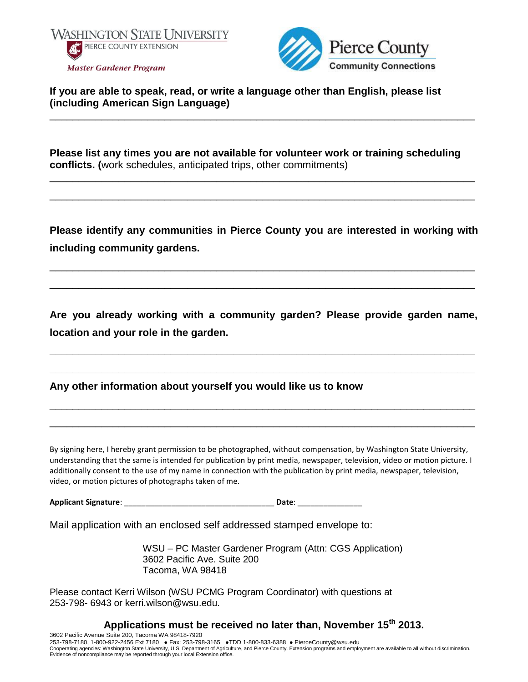



**If you are able to speak, read, or write a language other than English, please list (including American Sign Language)**

**Please list any times you are not available for volunteer work or training scheduling conflicts. (**work schedules, anticipated trips, other commitments)

\_\_\_\_\_\_\_\_\_\_\_\_\_\_\_\_\_\_\_\_\_\_\_\_\_\_\_\_\_\_\_\_\_\_\_\_\_\_\_\_\_\_\_\_\_\_\_\_\_\_\_\_\_\_\_\_\_\_\_\_\_\_\_\_\_\_\_\_\_\_\_\_\_\_

\_\_\_\_\_\_\_\_\_\_\_\_\_\_\_\_\_\_\_\_\_\_\_\_\_\_\_\_\_\_\_\_\_\_\_\_\_\_\_\_\_\_\_\_\_\_\_\_\_\_\_\_\_\_\_\_\_\_\_\_\_\_\_\_\_\_\_\_\_\_\_\_\_\_

\_\_\_\_\_\_\_\_\_\_\_\_\_\_\_\_\_\_\_\_\_\_\_\_\_\_\_\_\_\_\_\_\_\_\_\_\_\_\_\_\_\_\_\_\_\_\_\_\_\_\_\_\_\_\_\_\_\_\_\_\_\_\_\_\_\_\_\_\_\_\_\_\_\_

**Please identify any communities in Pierce County you are interested in working with including community gardens.** 

\_\_\_\_\_\_\_\_\_\_\_\_\_\_\_\_\_\_\_\_\_\_\_\_\_\_\_\_\_\_\_\_\_\_\_\_\_\_\_\_\_\_\_\_\_\_\_\_\_\_\_\_\_\_\_\_\_\_\_\_\_\_\_\_\_\_\_\_\_\_\_\_\_\_

\_\_\_\_\_\_\_\_\_\_\_\_\_\_\_\_\_\_\_\_\_\_\_\_\_\_\_\_\_\_\_\_\_\_\_\_\_\_\_\_\_\_\_\_\_\_\_\_\_\_\_\_\_\_\_\_\_\_\_\_\_\_\_\_\_\_\_\_\_\_\_\_\_\_

**Are you already working with a community garden? Please provide garden name, location and your role in the garden.** 

**\_\_\_\_\_\_\_\_\_\_\_\_\_\_\_\_\_\_\_\_\_\_\_\_\_\_\_\_\_\_\_\_\_\_\_\_\_\_\_\_\_\_\_\_\_\_\_\_\_\_\_\_\_\_\_\_\_\_\_\_\_\_\_\_\_\_\_\_\_\_\_\_\_\_**

**\_\_\_\_\_\_\_\_\_\_\_\_\_\_\_\_\_\_\_\_\_\_\_\_\_\_\_\_\_\_\_\_\_\_\_\_\_\_\_\_\_\_\_\_\_\_\_\_\_\_\_\_\_\_\_\_\_\_\_\_\_\_\_\_\_\_\_\_\_\_\_\_\_\_**

\_\_\_\_\_\_\_\_\_\_\_\_\_\_\_\_\_\_\_\_\_\_\_\_\_\_\_\_\_\_\_\_\_\_\_\_\_\_\_\_\_\_\_\_\_\_\_\_\_\_\_\_\_\_\_\_\_\_\_\_\_\_\_\_\_\_\_\_\_\_\_\_\_\_

\_\_\_\_\_\_\_\_\_\_\_\_\_\_\_\_\_\_\_\_\_\_\_\_\_\_\_\_\_\_\_\_\_\_\_\_\_\_\_\_\_\_\_\_\_\_\_\_\_\_\_\_\_\_\_\_\_\_\_\_\_\_\_\_\_\_\_\_\_\_\_\_\_\_

**Any other information about yourself you would like us to know**

By signing here, I hereby grant permission to be photographed, without compensation, by Washington State University, understanding that the same is intended for publication by print media, newspaper, television, video or motion picture. I additionally consent to the use of my name in connection with the publication by print media, newspaper, television, video, or motion pictures of photographs taken of me.

**Applicant Signature**: \_\_\_\_\_\_\_\_\_\_\_\_\_\_\_\_\_\_\_\_\_\_\_\_\_\_\_\_\_\_\_\_\_\_\_ **Date**: \_\_\_\_\_\_\_\_\_\_\_\_\_\_\_

Mail application with an enclosed self addressed stamped envelope to:

WSU – PC Master Gardener Program (Attn: CGS Application) 3602 Pacific Ave. Suite 200 Tacoma, WA 98418

Please contact Kerri Wilson (WSU PCMG Program Coordinator) with questions at 253-798- 6943 or kerri.wilson@wsu.edu.

# **Applications must be received no later than, November 15th 2013.**